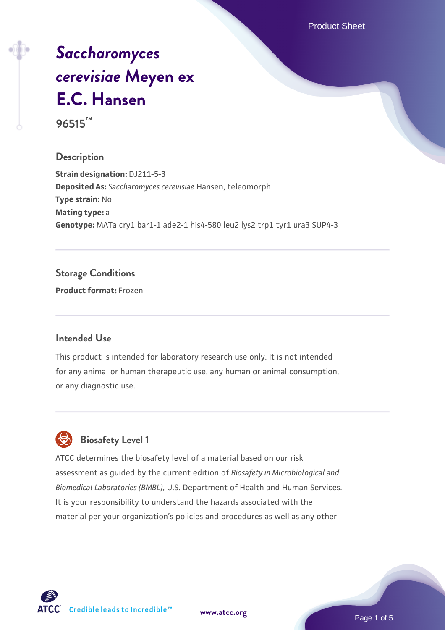Product Sheet

# *[Saccharomyces](https://www.atcc.org/products/96515) [cerevisiae](https://www.atcc.org/products/96515)* **[Meyen ex](https://www.atcc.org/products/96515) [E.C. Hansen](https://www.atcc.org/products/96515) 96515™**

## **Description**

**Strain designation:** DJ211-5-3 **Deposited As:** *Saccharomyces cerevisiae* Hansen, teleomorph **Type strain:** No **Mating type:** a **Genotype:** MATa cry1 bar1-1 ade2-1 his4-580 leu2 lys2 trp1 tyr1 ura3 SUP4-3

## **Storage Conditions**

**Product format:** Frozen

#### **Intended Use**

This product is intended for laboratory research use only. It is not intended for any animal or human therapeutic use, any human or animal consumption, or any diagnostic use.



# **Biosafety Level 1**

ATCC determines the biosafety level of a material based on our risk assessment as guided by the current edition of *Biosafety in Microbiological and Biomedical Laboratories (BMBL)*, U.S. Department of Health and Human Services. It is your responsibility to understand the hazards associated with the material per your organization's policies and procedures as well as any other



**[www.atcc.org](http://www.atcc.org)**

Page 1 of 5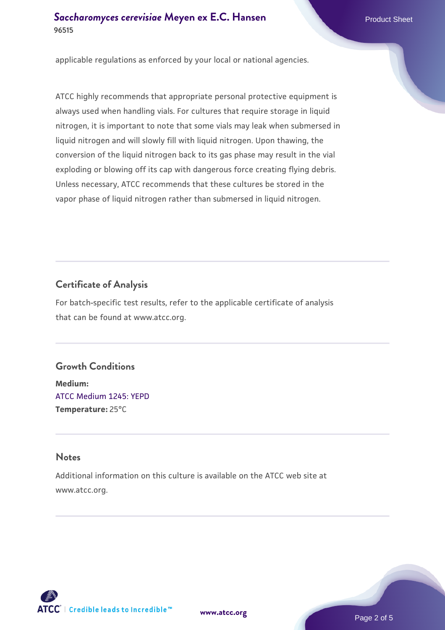applicable regulations as enforced by your local or national agencies.

ATCC highly recommends that appropriate personal protective equipment is always used when handling vials. For cultures that require storage in liquid nitrogen, it is important to note that some vials may leak when submersed in liquid nitrogen and will slowly fill with liquid nitrogen. Upon thawing, the conversion of the liquid nitrogen back to its gas phase may result in the vial exploding or blowing off its cap with dangerous force creating flying debris. Unless necessary, ATCC recommends that these cultures be stored in the vapor phase of liquid nitrogen rather than submersed in liquid nitrogen.

## **Certificate of Analysis**

For batch-specific test results, refer to the applicable certificate of analysis that can be found at www.atcc.org.

## **Growth Conditions**

**Medium:**  [ATCC Medium 1245: YEPD](https://www.atcc.org/-/media/product-assets/documents/microbial-media-formulations/1/2/4/5/atcc-medium-1245.pdf?rev=705ca55d1b6f490a808a965d5c072196) **Temperature:** 25°C

## **Notes**

Additional information on this culture is available on the ATCC web site at www.atcc.org.



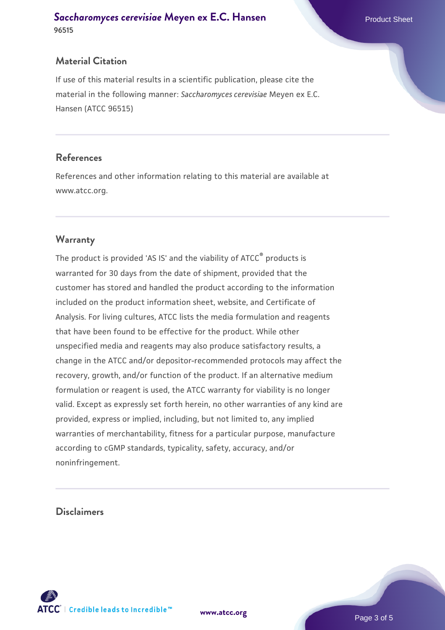## **Material Citation**

If use of this material results in a scientific publication, please cite the material in the following manner: *Saccharomyces cerevisiae* Meyen ex E.C. Hansen (ATCC 96515)

## **References**

References and other information relating to this material are available at www.atcc.org.

## **Warranty**

The product is provided 'AS IS' and the viability of ATCC® products is warranted for 30 days from the date of shipment, provided that the customer has stored and handled the product according to the information included on the product information sheet, website, and Certificate of Analysis. For living cultures, ATCC lists the media formulation and reagents that have been found to be effective for the product. While other unspecified media and reagents may also produce satisfactory results, a change in the ATCC and/or depositor-recommended protocols may affect the recovery, growth, and/or function of the product. If an alternative medium formulation or reagent is used, the ATCC warranty for viability is no longer valid. Except as expressly set forth herein, no other warranties of any kind are provided, express or implied, including, but not limited to, any implied warranties of merchantability, fitness for a particular purpose, manufacture according to cGMP standards, typicality, safety, accuracy, and/or noninfringement.

#### **Disclaimers**

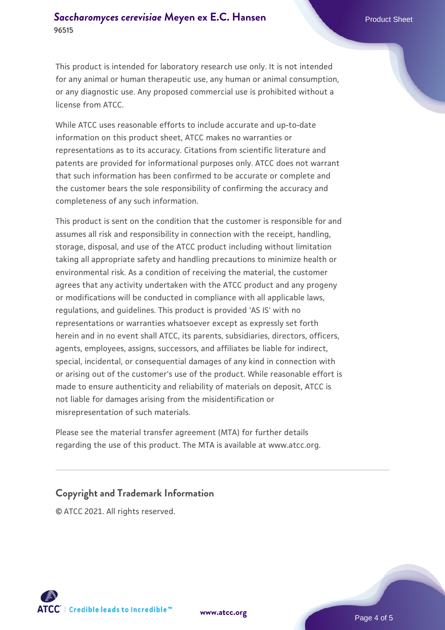This product is intended for laboratory research use only. It is not intended for any animal or human therapeutic use, any human or animal consumption, or any diagnostic use. Any proposed commercial use is prohibited without a license from ATCC.

While ATCC uses reasonable efforts to include accurate and up-to-date information on this product sheet, ATCC makes no warranties or representations as to its accuracy. Citations from scientific literature and patents are provided for informational purposes only. ATCC does not warrant that such information has been confirmed to be accurate or complete and the customer bears the sole responsibility of confirming the accuracy and completeness of any such information.

This product is sent on the condition that the customer is responsible for and assumes all risk and responsibility in connection with the receipt, handling, storage, disposal, and use of the ATCC product including without limitation taking all appropriate safety and handling precautions to minimize health or environmental risk. As a condition of receiving the material, the customer agrees that any activity undertaken with the ATCC product and any progeny or modifications will be conducted in compliance with all applicable laws, regulations, and guidelines. This product is provided 'AS IS' with no representations or warranties whatsoever except as expressly set forth herein and in no event shall ATCC, its parents, subsidiaries, directors, officers, agents, employees, assigns, successors, and affiliates be liable for indirect, special, incidental, or consequential damages of any kind in connection with or arising out of the customer's use of the product. While reasonable effort is made to ensure authenticity and reliability of materials on deposit, ATCC is not liable for damages arising from the misidentification or misrepresentation of such materials.

Please see the material transfer agreement (MTA) for further details regarding the use of this product. The MTA is available at www.atcc.org.

#### **Copyright and Trademark Information**

© ATCC 2021. All rights reserved.